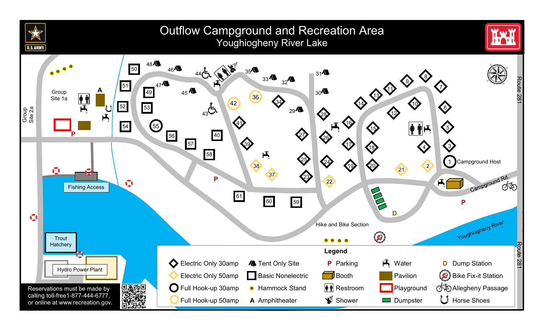